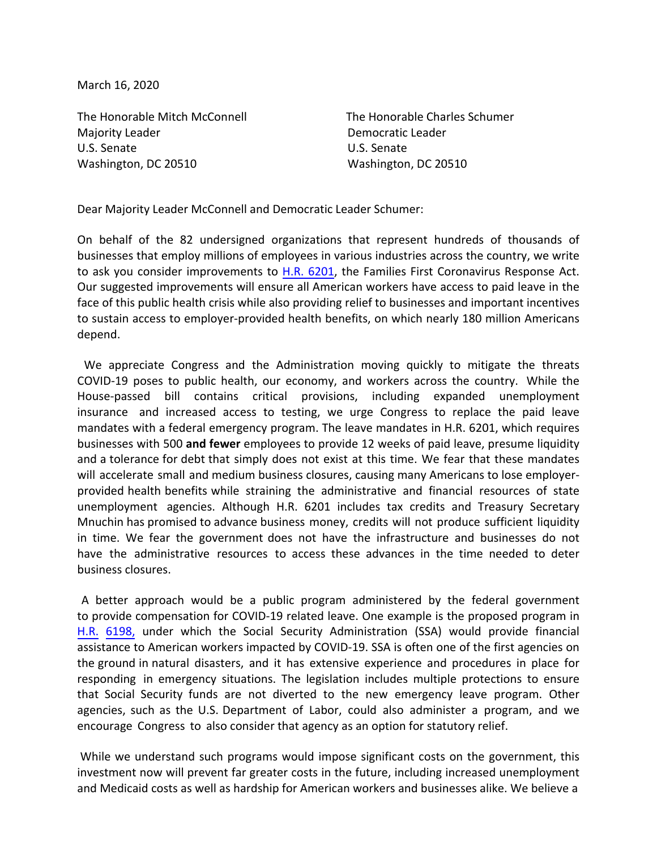March 16, 2020

The Honorable Mitch McConnell The Honorable Charles Schumer Majority Leader **Democratic Leader** U.S. Senate U.S. Senate Washington, DC 20510 Washington, DC 20510

Dear Majority Leader McConnell and Democratic Leader Schumer:

On behalf of the 82 undersigned organizations that represent hundreds of thousands of businesses that employ millions of employees in various industries across the country, we write to ask you consider impr[ovements t](https://www.congress.gov/bill/116th-congress/house-bill/6201/text)o H.R. 6201, the Families First Coronavirus Response Act. Our suggested improvements will ensure all American workers have access to paid leave in the face of this public health crisis while also providing relief to businesses and important incentives to sustain access to employer-provided health benefits, on which nearly 180 million Americans depend.

 We appreciate Congress and the Administration moving quickly to mitigate the threats COVID-19 poses to public health, our economy, and workers across the country. While the House-passed bill contains critical provisions, including expanded unemployment insurance and increased access to testing, we urge Congress to replace the paid leave mandates with a federal emergency program. The leave mandates in H.R. 6201, which requires businesses with 500 **and fewer** employees to provide 12 weeks of paid leave, presume liquidity and a tolerance for debt that simply does not exist at this time. We fear that these mandates will accelerate small and medium business closures, causing many Americans to lose employerprovided health benefits while straining the administrative and financial resources of state unemployment agencies. Although H.R. 6201 includes tax credits and Treasury Secretary Mnuchin has promised to advance business money, credits will not produce sufficient liquidity in time. We fear the government does not have the infrastructure and businesses do not have the administrative resources to access these advances in the time needed to deter business closures.

 [A bet](https://www.congress.gov/bill/116th-congress/house-bill/6198?q=%7B%22search%22%3A%5B%22HR+6198%22%5D%7D&s=1&r=1)ter approach would be a public program administered by the federal government to provide compensation for COVID-19 related leave. One example is the proposed program in H.R. 6198, under which the Social Security Administration (SSA) would provide financial assistance to American workers impacted by COVID-19. SSA is often one of the first agencies on the ground in natural disasters, and it has extensive experience and procedures in place for responding in emergency situations. The legislation includes multiple protections to ensure that Social Security funds are not diverted to the new emergency leave program. Other agencies, such as the U.S. Department of Labor, could also administer a program, and we encourage Congress to also consider that agency as an option for statutory relief.

 While we understand such programs would impose significant costs on the government, this investment now will prevent far greater costs in the future, including increased unemployment and Medicaid costs as well as hardship for American workers and businesses alike. We believe a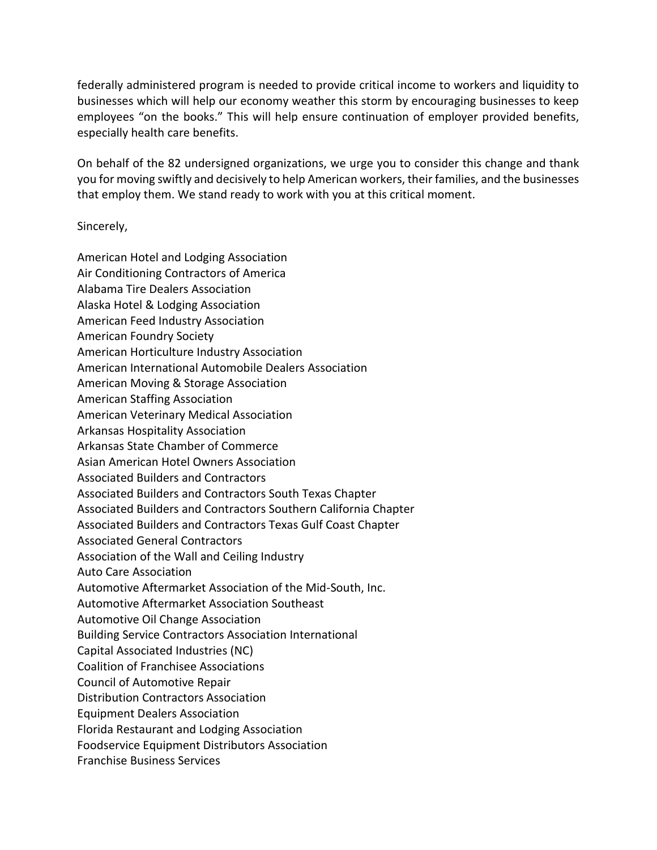federally administered program is needed to provide critical income to workers and liquidity to businesses which will help our economy weather this storm by encouraging businesses to keep employees "on the books." This will help ensure continuation of employer provided benefits, especially health care benefits.

On behalf of the 82 undersigned organizations, we urge you to consider this change and thank you for moving swiftly and decisively to help American workers, their families, and the businesses that employ them. We stand ready to work with you at this critical moment.

Sincerely,

American Hotel and Lodging Association Air Conditioning Contractors of America Alabama Tire Dealers Association Alaska Hotel & Lodging Association American Feed Industry Association American Foundry Society American Horticulture Industry Association American International Automobile Dealers Association American Moving & Storage Association American Staffing Association American Veterinary Medical Association Arkansas Hospitality Association Arkansas State Chamber of Commerce Asian American Hotel Owners Association Associated Builders and Contractors Associated Builders and Contractors South Texas Chapter Associated Builders and Contractors Southern California Chapter Associated Builders and Contractors Texas Gulf Coast Chapter Associated General Contractors Association of the Wall and Ceiling Industry Auto Care Association Automotive Aftermarket Association of the Mid-South, Inc. Automotive Aftermarket Association Southeast Automotive Oil Change Association Building Service Contractors Association International Capital Associated Industries (NC) Coalition of Franchisee Associations Council of Automotive Repair Distribution Contractors Association Equipment Dealers Association Florida Restaurant and Lodging Association Foodservice Equipment Distributors Association Franchise Business Services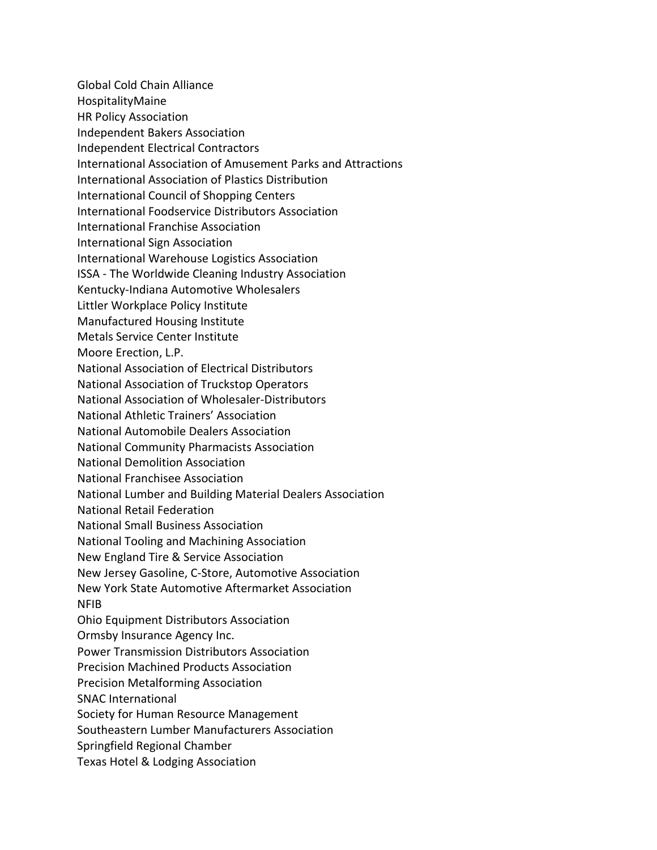Global Cold Chain Alliance HospitalityMaine HR Policy Association Independent Bakers Association Independent Electrical Contractors International Association of Amusement Parks and Attractions International Association of Plastics Distribution International Council of Shopping Centers International Foodservice Distributors Association International Franchise Association International Sign Association International Warehouse Logistics Association ISSA - The Worldwide Cleaning Industry Association Kentucky-Indiana Automotive Wholesalers Littler Workplace Policy Institute Manufactured Housing Institute Metals Service Center Institute Moore Erection, L.P. National Association of Electrical Distributors National Association of Truckstop Operators National Association of Wholesaler-Distributors National Athletic Trainers' Association National Automobile Dealers Association National Community Pharmacists Association National Demolition Association National Franchisee Association National Lumber and Building Material Dealers Association National Retail Federation National Small Business Association National Tooling and Machining Association New England Tire & Service Association New Jersey Gasoline, C-Store, Automotive Association New York State Automotive Aftermarket Association NFIB Ohio Equipment Distributors Association Ormsby Insurance Agency Inc. Power Transmission Distributors Association Precision Machined Products Association Precision Metalforming Association SNAC International Society for Human Resource Management Southeastern Lumber Manufacturers Association Springfield Regional Chamber Texas Hotel & Lodging Association